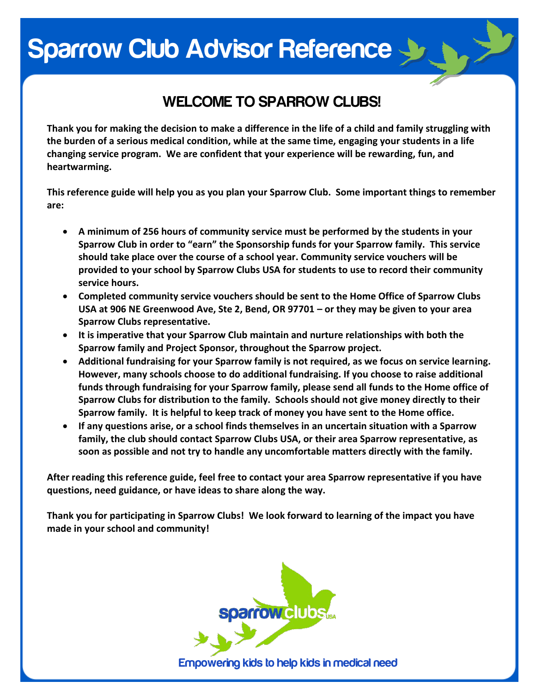### **WELCOME TO SPARROW CLUBS!**

**Thank you for making the decision to make a difference in the life of a child and family struggling with the burden of a serious medical condition, while at the same time, engaging your students in a life changing service program. We are confident that your experience will be rewarding, fun, and heartwarming.**

**This reference guide will help you as you plan your Sparrow Club. Some important things to remember are:**

- **A minimum of 256 hours of community service must be performed by the students in your Sparrow Club in order to "earn" the Sponsorship funds for your Sparrow family. This service should take place over the course of a school year. Community service vouchers will be provided to your school by Sparrow Clubs USA for students to use to record their community service hours.**
- **Completed community service vouchers should be sent to the Home Office of Sparrow Clubs USA at 906 NE Greenwood Ave, Ste 2, Bend, OR 97701 – or they may be given to your area Sparrow Clubs representative.**
- **It is imperative that your Sparrow Club maintain and nurture relationships with both the Sparrow family and Project Sponsor, throughout the Sparrow project.**
- **Additional fundraising for your Sparrow family is not required, as we focus on service learning. However, many schools choose to do additional fundraising. If you choose to raise additional funds through fundraising for your Sparrow family, please send all funds to the Home office of Sparrow Clubs for distribution to the family. Schools should not give money directly to their Sparrow family. It is helpful to keep track of money you have sent to the Home office.**
- **If any questions arise, or a school finds themselves in an uncertain situation with a Sparrow family, the club should contact Sparrow Clubs USA, or their area Sparrow representative, as soon as possible and not try to handle any uncomfortable matters directly with the family.**

**After reading this reference guide, feel free to contact your area Sparrow representative if you have questions, need guidance, or have ideas to share along the way.** 

**Thank you for participating in Sparrow Clubs! We look forward to learning of the impact you have made in your school and community!**

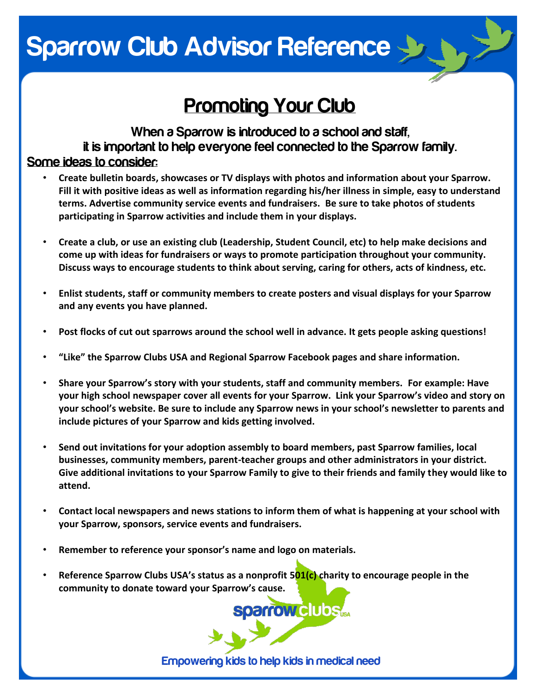### **Promoting Your Club**

**When a Sparrow is introduced to a school and staff, it is important to help everyone feel connected to the Sparrow family. Some ideas to consider:**

- **Create bulletin boards, showcases or TV displays with photos and information about your Sparrow. Fill it with positive ideas as well as information regarding his/her illness in simple, easy to understand terms. Advertise community service events and fundraisers. Be sure to take photos of students participating in Sparrow activities and include them in your displays.**
- **Create a club, or use an existing club (Leadership, Student Council, etc) to help make decisions and come up with ideas for fundraisers or ways to promote participation throughout your community. Discuss ways to encourage students to think about serving, caring for others, acts of kindness, etc.**
- **Enlist students, staff or community members to create posters and visual displays for your Sparrow and any events you have planned.**
- **Post flocks of cut out sparrows around the school well in advance. It gets people asking questions!**
- **"Like" the Sparrow Clubs USA and Regional Sparrow Facebook pages and share information.**
- **Share your Sparrow's story with your students, staff and community members. For example: Have your high school newspaper cover all events for your Sparrow. Link your Sparrow's video and story on your school's website. Be sure to include any Sparrow news in your school's newsletter to parents and include pictures of your Sparrow and kids getting involved.**
- **Send out invitations for your adoption assembly to board members, past Sparrow families, local businesses, community members, parent-teacher groups and other administrators in your district. Give additional invitations to your Sparrow Family to give to their friends and family they would like to attend.**
- **Contact local newspapers and news stations to inform them of what is happening at your school with your Sparrow, sponsors, service events and fundraisers.**
- **Remember to reference your sponsor's name and logo on materials.**
- **Reference Sparrow Clubs USA's status as a nonprofit 501(c) charity to encourage people in the community to donate toward your Sparrow's cause.**

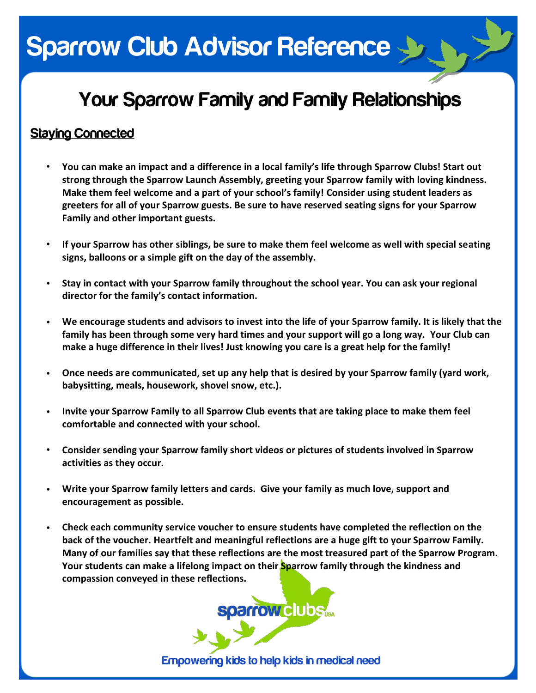## **Your Sparrow Family and Family Relationships**

### **Staying Connected**

- **You can make an impact and a difference in a local family's life through Sparrow Clubs! Start out strong through the Sparrow Launch Assembly, greeting your Sparrow family with loving kindness. Make them feel welcome and a part of your school's family! Consider using student leaders as greeters for all of your Sparrow guests. Be sure to have reserved seating signs for your Sparrow Family and other important guests.**
- **If your Sparrow has other siblings, be sure to make them feel welcome as well with special seating signs, balloons or a simple gift on the day of the assembly.**
- **Stay in contact with your Sparrow family throughout the school year. You can ask your regional director for the family's contact information.**
- **We encourage students and advisors to invest into the life of your Sparrow family. It is likely that the family has been through some very hard times and your support will go a long way. Your Club can make a huge difference in their lives! Just knowing you care is a great help for the family!**
- **Once needs are communicated, set up any help that is desired by your Sparrow family (yard work, babysitting, meals, housework, shovel snow, etc.).**
- **Invite your Sparrow Family to all Sparrow Club events that are taking place to make them feel comfortable and connected with your school.**
- **Consider sending your Sparrow family short videos or pictures of students involved in Sparrow activities as they occur.**
- **Write your Sparrow family letters and cards. Give your family as much love, support and encouragement as possible.**
- **Check each community service voucher to ensure students have completed the reflection on the back of the voucher. Heartfelt and meaningful reflections are a huge gift to your Sparrow Family. Many of our families say that these reflections are the most treasured part of the Sparrow Program. Your students can make a lifelong impact on their Sparrow family through the kindness and compassion conveyed in these reflections.**

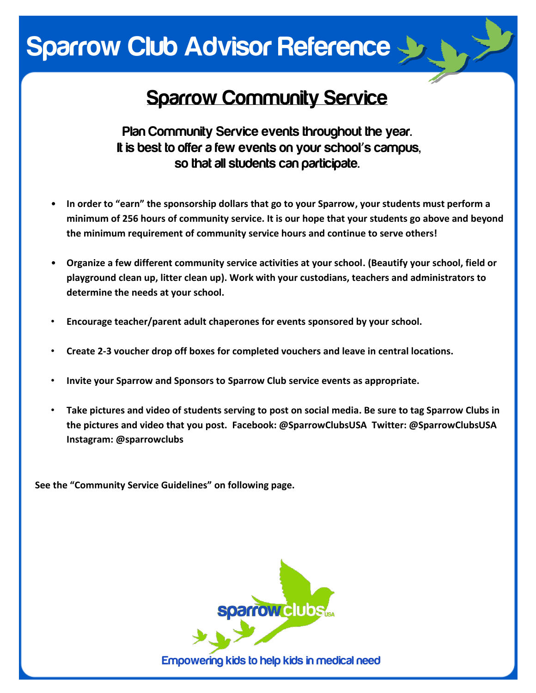### **Sparrow Community Service**

**Plan Community Service events throughout the year. It is best to offer a few events on your school**'**s campus, so that all students can participate.**

- **In order to "earn" the sponsorship dollars that go to your Sparrow, your students must perform a minimum of 256 hours of community service. It is our hope that your students go above and beyond the minimum requirement of community service hours and continue to serve others!**
- **Organize a few different community service activities at your school. (Beautify your school, field or playground clean up, litter clean up). Work with your custodians, teachers and administrators to determine the needs at your school.**
- **Encourage teacher/parent adult chaperones for events sponsored by your school.**
- **Create 2-3 voucher drop off boxes for completed vouchers and leave in central locations.**
- **Invite your Sparrow and Sponsors to Sparrow Club service events as appropriate.**
- **Take pictures and video of students serving to post on social media. Be sure to tag Sparrow Clubs in the pictures and video that you post. Facebook: @SparrowClubsUSA Twitter: @SparrowClubsUSA Instagram: @sparrowclubs**

**See the "Community Service Guidelines" on following page.**

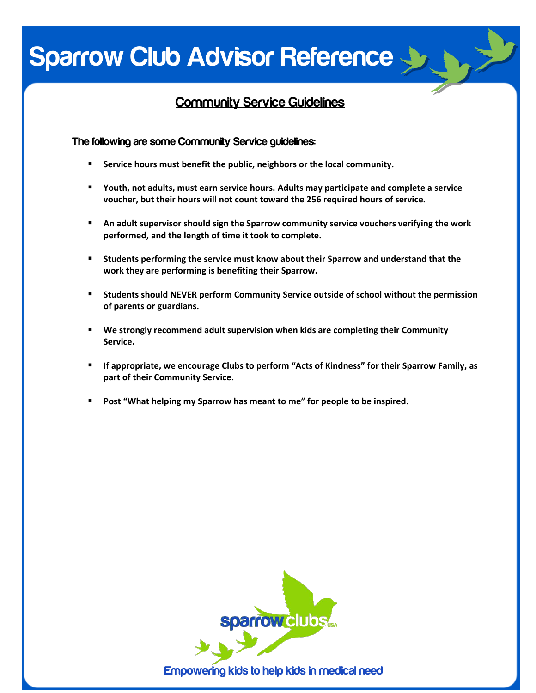### **Community Service Guidelines**

#### **The following are some Community Service guidelines:**

- **Service hours must benefit the public, neighbors or the local community.**
- **Youth, not adults, must earn service hours. Adults may participate and complete a service voucher, but their hours will not count toward the 256 required hours of service.**
- **An adult supervisor should sign the Sparrow community service vouchers verifying the work performed, and the length of time it took to complete.**
- **Students performing the service must know about their Sparrow and understand that the work they are performing is benefiting their Sparrow.**
- **Students should NEVER perform Community Service outside of school without the permission of parents or guardians.**
- **We strongly recommend adult supervision when kids are completing their Community Service.**
- **If appropriate, we encourage Clubs to perform "Acts of Kindness" for their Sparrow Family, as part of their Community Service.**
- **Post "What helping my Sparrow has meant to me" for people to be inspired.**

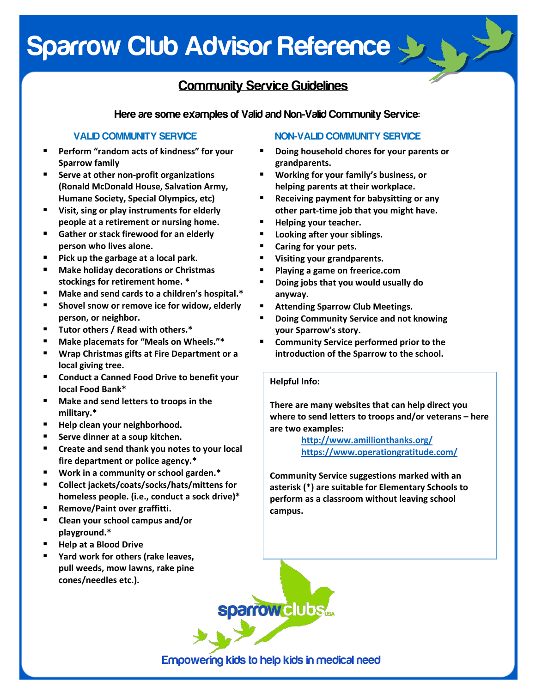### **Community Service Guidelines**

#### **Here are some examples of Valid and Non-Valid Community Service:**

- **Perform "random acts of kindness" for your Sparrow family**
- **Serve at other non-profit organizations (Ronald McDonald House, Salvation Army, Humane Society, Special Olympics, etc)**
- **Visit, sing or play instruments for elderly people at a retirement or nursing home.**
- **Gather or stack firewood for an elderly person who lives alone.**
- **Pick up the garbage at a local park.**
- **Make holiday decorations or Christmas stockings for retirement home. \***
- **Make and send cards to a children's hospital.\***
- **Shovel snow or remove ice for widow, elderly person, or neighbor.**
- **Tutor others / Read with others.\***
- **Make placemats for "Meals on Wheels."\***
- **Wrap Christmas gifts at Fire Department or a local giving tree.**
- **Conduct a Canned Food Drive to benefit your local Food Bank\***
- **Make and send letters to troops in the military.\***
- **Help clean your neighborhood.**
- **Serve dinner at a soup kitchen.**
- **Create and send thank you notes to your local fire department or police agency.\***
- **Work in a community or school garden.\***
- **Collect jackets/coats/socks/hats/mittens for homeless people. (i.e., conduct a sock drive)\***
- **Remove/Paint over graffitti.**
- **Clean your school campus and/or playground.\***
- **Help at a Blood Drive**
- **Yard work for others (rake leaves, pull weeds, mow lawns, rake pine cones/needles etc.).**

### **VALID COMMUNITY SERVICE NON-VALID COMMUNITY SERVICE**

- **Doing household chores for your parents or grandparents.**
- **Working for your family's business, or helping parents at their workplace.**
- **Receiving payment for babysitting or any other part-time job that you might have.**
- **Helping your teacher.**
- **Looking after your siblings.**
- **Caring for your pets.**
- **Visiting your grandparents.**
- **Playing a game on freerice.com**
- **Doing jobs that you would usually do anyway.**
- **Attending Sparrow Club Meetings.**
- **Doing Community Service and not knowing your Sparrow's story.**
- **Community Service performed prior to the introduction of the Sparrow to the school.**

#### **Helpful Info:**

**There are many websites that can help direct you where to send letters to troops and/or veterans – here are two examples:**

> **<http://www.amillionthanks.org/> <https://www.operationgratitude.com/>**

**Community Service suggestions marked with an asterisk (**\***) are suitable for Elementary Schools to perform as a classroom without leaving school campus.** 

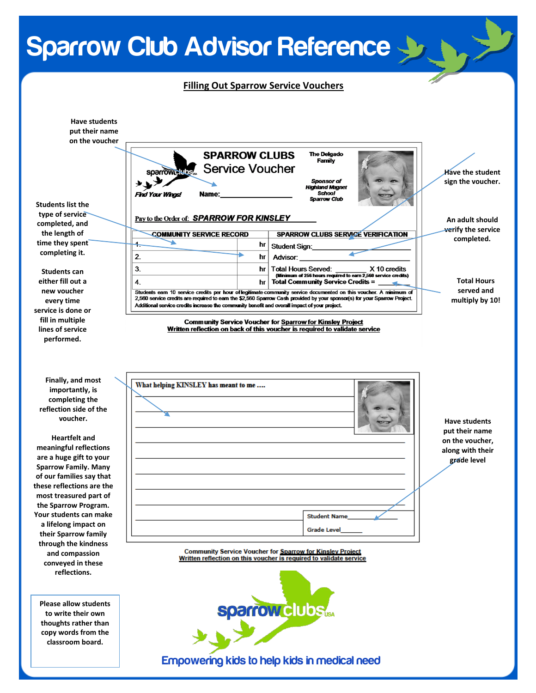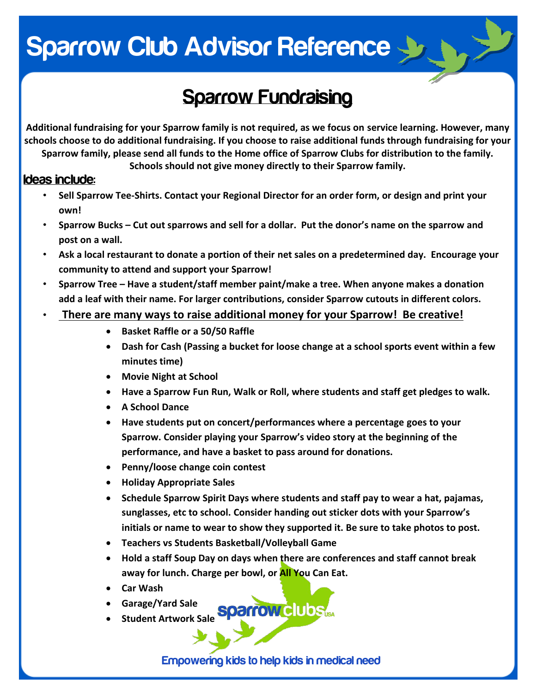### **Sparrow Fundraising**

**Additional fundraising for your Sparrow family is not required, as we focus on service learning. However, many schools choose to do additional fundraising. If you choose to raise additional funds through fundraising for your Sparrow family, please send all funds to the Home office of Sparrow Clubs for distribution to the family.** 

**Schools should not give money directly to their Sparrow family.**

### **Ideas include:**

- **Sell Sparrow Tee-Shirts. Contact your Regional Director for an order form, or design and print your own!**
- **Sparrow Bucks – Cut out sparrows and sell for a dollar. Put the donor's name on the sparrow and post on a wall.**
- **Ask a local restaurant to donate a portion of their net sales on a predetermined day. Encourage your community to attend and support your Sparrow!**
- **Sparrow Tree – Have a student/staff member paint/make a tree. When anyone makes a donation add a leaf with their name. For larger contributions, consider Sparrow cutouts in different colors.**
- **There are many ways to raise additional money for your Sparrow! Be creative!**
	- **Basket Raffle or a 50/50 Raffle**
	- **Dash for Cash (Passing a bucket for loose change at a school sports event within a few minutes time)**
	- **Movie Night at School**
	- **Have a Sparrow Fun Run, Walk or Roll, where students and staff get pledges to walk.**
	- **A School Dance**
	- **Have students put on concert/performances where a percentage goes to your Sparrow. Consider playing your Sparrow's video story at the beginning of the performance, and have a basket to pass around for donations.**
	- **Penny/loose change coin contest**
	- **Holiday Appropriate Sales**
	- **Schedule Sparrow Spirit Days where students and staff pay to wear a hat, pajamas, sunglasses, etc to school. Consider handing out sticker dots with your Sparrow's initials or name to wear to show they supported it. Be sure to take photos to post.**
	- **Teachers vs Students Basketball/Volleyball Game**
	- **Hold a staff Soup Day on days when there are conferences and staff cannot break away for lunch. Charge per bowl, or All You Can Eat.**
	- **Car Wash**
	- **Garage/Yard Sale**
	- **•** Student Artwork Sale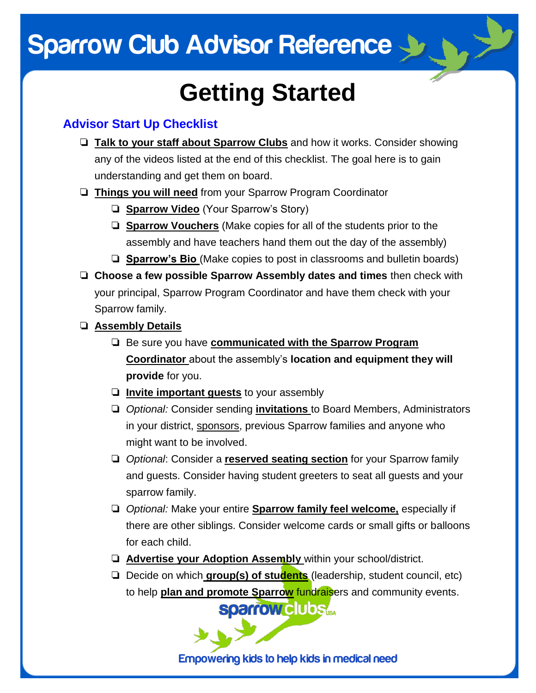# **Getting Started**

### **Advisor Start Up Checklist**

- ❏ **Talk to your staff about Sparrow Clubs** and how it works. Consider showing any of the videos listed at the end of this checklist. The goal here is to gain understanding and get them on board.
- ❏ **Things you will need** from your Sparrow Program Coordinator
	- ❏ **Sparrow Video** (Your Sparrow's Story)
	- ❏ **Sparrow Vouchers** (Make copies for all of the students prior to the assembly and have teachers hand them out the day of the assembly)
	- ❏ **Sparrow's Bio** (Make copies to post in classrooms and bulletin boards)
- ❏ **Choose a few possible Sparrow Assembly dates and times** then check with your principal, Sparrow Program Coordinator and have them check with your Sparrow family.

### ❏ **Assembly Details**

- ❏ Be sure you have **communicated with the Sparrow Program Coordinator** about the assembly's **location and equipment they will provide** for you.
- ❏ **Invite important guests** to your assembly
- ❏ *Optional:* Consider sending **invitations** to Board Members, Administrators in your district, sponsors, previous Sparrow families and anyone who might want to be involved.
- ❏ *Optional*: Consider a **reserved seating section** for your Sparrow family and guests. Consider having student greeters to seat all guests and your sparrow family.
- ❏ *Optional:* Make your entire **Sparrow family feel welcome,** especially if there are other siblings. Consider welcome cards or small gifts or balloons for each child.
- ❏ **Advertise your Adoption Assembly** within your school/district.
- ❏ Decide on which **group(s) of students** (leadership, student council, etc) to help **plan and promote Sparrow** fundraisers and community events.

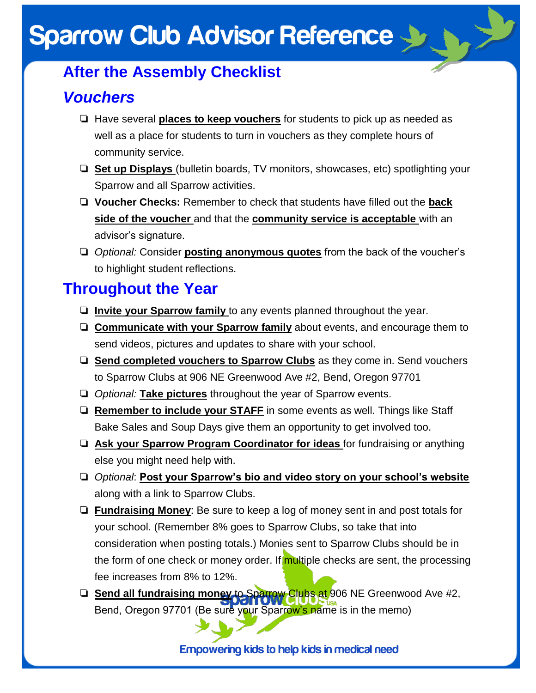### **After the Assembly Checklist**

### *Vouchers*

- ❏ Have several **places to keep vouchers** for students to pick up as needed as well as a place for students to turn in vouchers as they complete hours of community service.
- ❏ **Set up Displays** (bulletin boards, TV monitors, showcases, etc) spotlighting your Sparrow and all Sparrow activities.
- ❏ **Voucher Checks:** Remember to check that students have filled out the **back side of the voucher** and that the **community service is acceptable** with an advisor's signature.
- ❏ *Optional:* Consider **posting anonymous quotes** from the back of the voucher's to highlight student reflections.

### **Throughout the Year**

- ❏ **Invite your Sparrow family** to any events planned throughout the year.
- ❏ **Communicate with your Sparrow family** about events, and encourage them to send videos, pictures and updates to share with your school.
- ❏ **Send completed vouchers to Sparrow Clubs** as they come in. Send vouchers to Sparrow Clubs at 906 NE Greenwood Ave #2, Bend, Oregon 97701
- ❏ *Optional:* **Take pictures** throughout the year of Sparrow events.
- ❏ **Remember to include your STAFF** in some events as well. Things like Staff Bake Sales and Soup Days give them an opportunity to get involved too.
- ❏ **Ask your Sparrow Program Coordinator for ideas** for fundraising or anything else you might need help with.
- ❏ *Optional*: **Post your Sparrow's bio and video story on your school's website**  along with a link to Sparrow Clubs.
- ❏ **Fundraising Money**: Be sure to keep a log of money sent in and post totals for your school. (Remember 8% goes to Sparrow Clubs, so take that into consideration when posting totals.) Monies sent to Sparrow Clubs should be in the form of one check or money order. If multiple checks are sent, the processing fee increases from 8% to 12%.
- ❏ **Send all fundraising money** to Sparrow Clubs at 906 NE Greenwood Ave #2, Bend, Oregon 97701 (Be sure your Sparrow's name is in the memo)